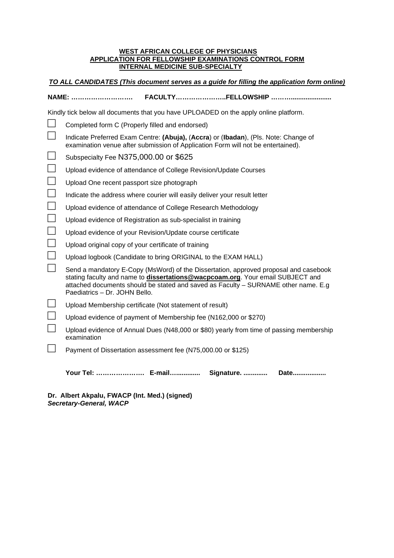## **WEST AFRICAN COLLEGE OF PHYSICIANS APPLICATION FOR FELLOWSHIP EXAMINATIONS CONTROL FORM INTERNAL MEDICINE SUB-SPECIALTY**

| TO ALL CANDIDATES (This document serves as a guide for filling the application form online) |
|---------------------------------------------------------------------------------------------|
|                                                                                             |

|                                                                                      | NAME:                                                                                                                                                                                                                                                                                         |  |
|--------------------------------------------------------------------------------------|-----------------------------------------------------------------------------------------------------------------------------------------------------------------------------------------------------------------------------------------------------------------------------------------------|--|
| Kindly tick below all documents that you have UPLOADED on the apply online platform. |                                                                                                                                                                                                                                                                                               |  |
|                                                                                      | Completed form C (Properly filled and endorsed)                                                                                                                                                                                                                                               |  |
|                                                                                      | Indicate Preferred Exam Centre: (Abuja), (Accra) or (Ibadan), (Pls. Note: Change of<br>examination venue after submission of Application Form will not be entertained).                                                                                                                       |  |
|                                                                                      | Subspecialty Fee N375,000.00 or \$625                                                                                                                                                                                                                                                         |  |
|                                                                                      | Upload evidence of attendance of College Revision/Update Courses                                                                                                                                                                                                                              |  |
|                                                                                      | Upload One recent passport size photograph                                                                                                                                                                                                                                                    |  |
|                                                                                      | Indicate the address where courier will easily deliver your result letter                                                                                                                                                                                                                     |  |
|                                                                                      | Upload evidence of attendance of College Research Methodology                                                                                                                                                                                                                                 |  |
|                                                                                      | Upload evidence of Registration as sub-specialist in training                                                                                                                                                                                                                                 |  |
|                                                                                      | Upload evidence of your Revision/Update course certificate                                                                                                                                                                                                                                    |  |
|                                                                                      | Upload original copy of your certificate of training                                                                                                                                                                                                                                          |  |
|                                                                                      | Upload logbook (Candidate to bring ORIGINAL to the EXAM HALL)                                                                                                                                                                                                                                 |  |
|                                                                                      | Send a mandatory E-Copy (MsWord) of the Dissertation, approved proposal and casebook<br>stating faculty and name to dissertations@wacpcoam.org. Your email SUBJECT and<br>attached documents should be stated and saved as Faculty - SURNAME other name. E.g<br>Paediatrics - Dr. JOHN Bello. |  |
|                                                                                      | Upload Membership certificate (Not statement of result)                                                                                                                                                                                                                                       |  |
|                                                                                      | Upload evidence of payment of Membership fee (N162,000 or \$270)                                                                                                                                                                                                                              |  |
|                                                                                      | Upload evidence of Annual Dues (N48,000 or \$80) yearly from time of passing membership<br>examination                                                                                                                                                                                        |  |
|                                                                                      | Payment of Dissertation assessment fee (N75,000.00 or \$125)                                                                                                                                                                                                                                  |  |
|                                                                                      | Your Tel:  E-mail Signature.<br>Date                                                                                                                                                                                                                                                          |  |

**Dr. Albert Akpalu, FWACP (Int. Med.) (signed) Secretary-General, WACP**